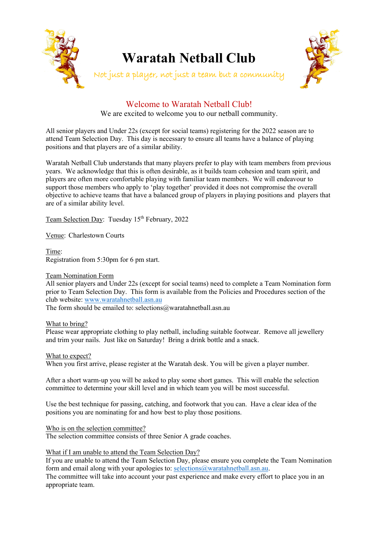



## Welcome to Waratah Netball Club!

We are excited to welcome you to our netball community.

All senior players and Under 22s (except for social teams) registering for the 2022 season are to attend Team Selection Day. This day is necessary to ensure all teams have a balance of playing positions and that players are of a similar ability.

Waratah Netball Club understands that many players prefer to play with team members from previous years. We acknowledge that this is often desirable, as it builds team cohesion and team spirit, and players are often more comfortable playing with familiar team members. We will endeavour to support those members who apply to 'play together' provided it does not compromise the overall objective to achieve teams that have a balanced group of players in playing positions and players that are of a similar ability level.

Team Selection Day: Tuesday 15<sup>th</sup> February, 2022

Venue: Charlestown Courts

Time: Registration from 5:30pm for 6 pm start.

## Team Nomination Form

All senior players and Under 22s (except for social teams) need to complete a Team Nomination form prior to Team Selection Day. This form is available from the Policies and Procedures section of the club website: [www.waratahnetball.asn.au](http://www.waratahnetball.asn.au/)

The form should be emailed to: selections@waratahnetball.asn.au

What to bring?

Please wear appropriate clothing to play netball, including suitable footwear. Remove all jewellery and trim your nails. Just like on Saturday! Bring a drink bottle and a snack.

What to expect?

When you first arrive, please register at the Waratah desk. You will be given a player number.

After a short warm-up you will be asked to play some short games. This will enable the selection committee to determine your skill level and in which team you will be most successful.

Use the best technique for passing, catching, and footwork that you can. Have a clear idea of the positions you are nominating for and how best to play those positions.

Who is on the selection committee?

The selection committee consists of three Senior A grade coaches.

What if I am unable to attend the Team Selection Day?

If you are unable to attend the Team Selection Day, please ensure you complete the Team Nomination form and email along with your apologies to: [selections@waratahnetball.asn.au](mailto:selections@waratahnetball.asn.au).

The committee will take into account your past experience and make every effort to place you in an appropriate team.